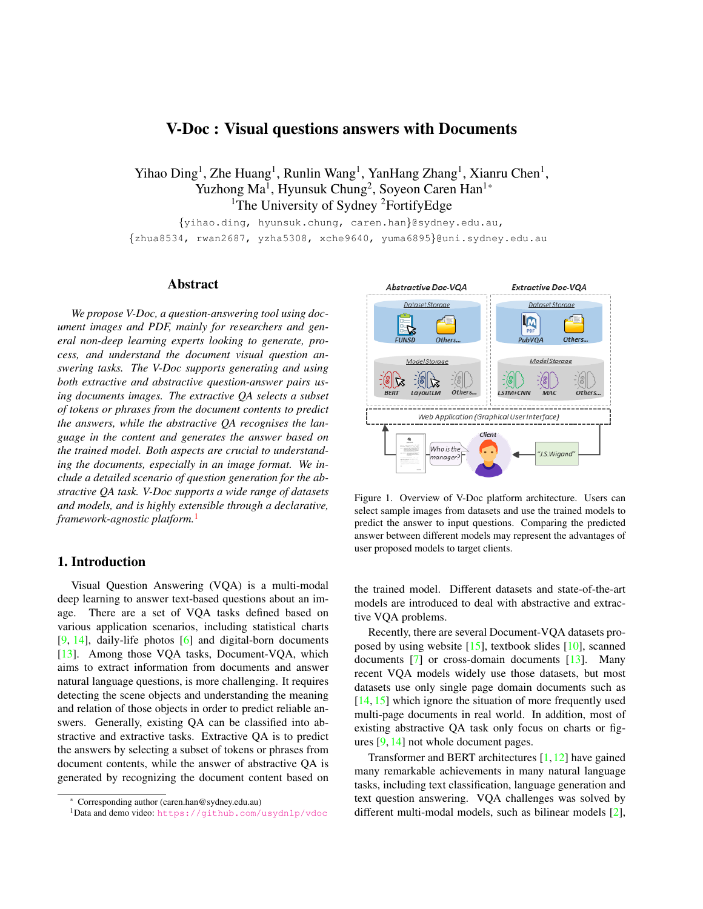# <span id="page-0-1"></span>V-Doc : Visual questions answers with Documents

<span id="page-0-2"></span>Yihao Ding<sup>1</sup>, Zhe Huang<sup>1</sup>, Runlin Wang<sup>1</sup>, YanHang Zhang<sup>1</sup>, Xianru Chen<sup>1</sup>, Yuzhong Ma<sup>1</sup>, Hyunsuk Chung<sup>2</sup>, Soyeon Caren Han<sup>1\*</sup> <sup>1</sup>The University of Sydney <sup>2</sup>FortifyEdge

{yihao.ding, hyunsuk.chung, caren.han}@sydney.edu.au, {zhua8534, rwan2687, yzha5308, xche9640, yuma6895}@uni.sydney.edu.au

#### Abstract

*We propose V-Doc, a question-answering tool using document images and PDF, mainly for researchers and general non-deep learning experts looking to generate, process, and understand the document visual question answering tasks. The V-Doc supports generating and using both extractive and abstractive question-answer pairs using documents images. The extractive QA selects a subset of tokens or phrases from the document contents to predict the answers, while the abstractive QA recognises the language in the content and generates the answer based on the trained model. Both aspects are crucial to understanding the documents, especially in an image format. We include a detailed scenario of question generation for the abstractive QA task. V-Doc supports a wide range of datasets and models, and is highly extensible through a declarative, framework-agnostic platform.*[1](#page-0-0)

# 1. Introduction

Visual Question Answering (VQA) is a multi-modal deep learning to answer text-based questions about an image. There are a set of VQA tasks defined based on various application scenarios, including statistical charts [\[9,](#page-6-0) [14\]](#page-6-1), daily-life photos [\[6\]](#page-6-2) and digital-born documents [\[13\]](#page-6-3). Among those VQA tasks, Document-VQA, which aims to extract information from documents and answer natural language questions, is more challenging. It requires detecting the scene objects and understanding the meaning and relation of those objects in order to predict reliable answers. Generally, existing QA can be classified into abstractive and extractive tasks. Extractive QA is to predict the answers by selecting a subset of tokens or phrases from document contents, while the answer of abstractive QA is generated by recognizing the document content based on



Figure 1. Overview of V-Doc platform architecture. Users can select sample images from datasets and use the trained models to predict the answer to input questions. Comparing the predicted answer between different models may represent the advantages of user proposed models to target clients.

the trained model. Different datasets and state-of-the-art models are introduced to deal with abstractive and extractive VQA problems.

Recently, there are several Document-VQA datasets proposed by using website [\[15\]](#page-6-4), textbook slides [\[10\]](#page-6-5), scanned documents [\[7\]](#page-6-6) or cross-domain documents [\[13\]](#page-6-3). Many recent VQA models widely use those datasets, but most datasets use only single page domain documents such as [\[14,](#page-6-1) [15\]](#page-6-4) which ignore the situation of more frequently used multi-page documents in real world. In addition, most of existing abstractive QA task only focus on charts or figures [\[9,](#page-6-0) [14\]](#page-6-1) not whole document pages.

Transformer and BERT architectures [\[1,](#page-6-7)[12\]](#page-6-8) have gained many remarkable achievements in many natural language tasks, including text classification, language generation and text question answering. VQA challenges was solved by different multi-modal models, such as bilinear models [\[2\]](#page-6-9),

<sup>\*</sup> Corresponding author (caren.han@sydney.edu.au)

<span id="page-0-0"></span><sup>1</sup>Data and demo video: <https://github.com/usydnlp/vdoc>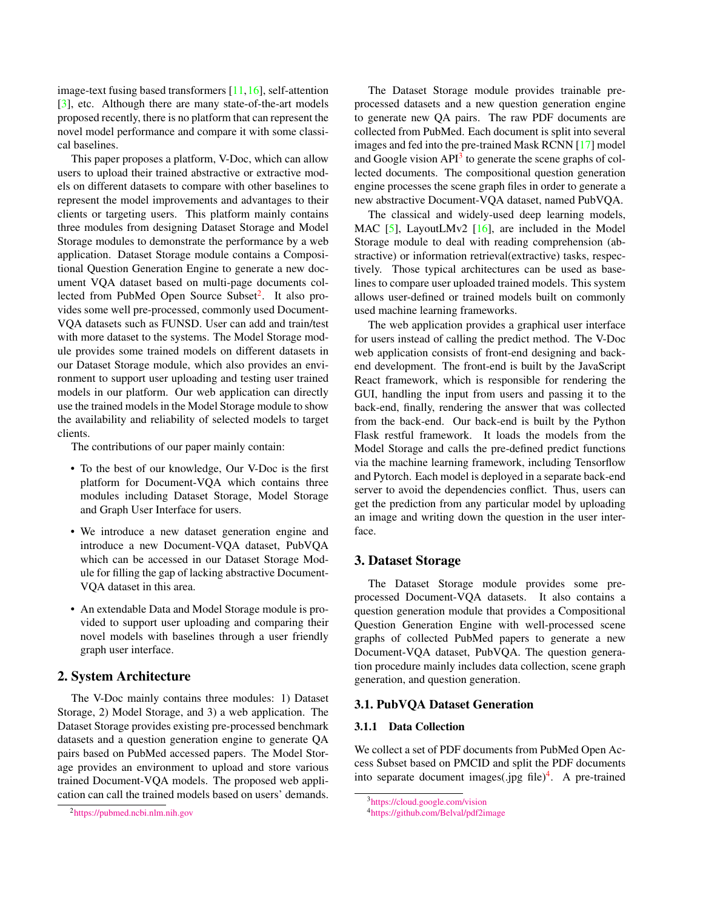<span id="page-1-3"></span>image-text fusing based transformers [\[11,](#page-6-10)[16\]](#page-6-11), self-attention [\[3\]](#page-6-12), etc. Although there are many state-of-the-art models proposed recently, there is no platform that can represent the novel model performance and compare it with some classical baselines.

This paper proposes a platform, V-Doc, which can allow users to upload their trained abstractive or extractive models on different datasets to compare with other baselines to represent the model improvements and advantages to their clients or targeting users. This platform mainly contains three modules from designing Dataset Storage and Model Storage modules to demonstrate the performance by a web application. Dataset Storage module contains a Compositional Question Generation Engine to generate a new document VQA dataset based on multi-page documents col-lected from PubMed Open Source Subset<sup>[2](#page-1-0)</sup>. It also provides some well pre-processed, commonly used Document-VQA datasets such as FUNSD. User can add and train/test with more dataset to the systems. The Model Storage module provides some trained models on different datasets in our Dataset Storage module, which also provides an environment to support user uploading and testing user trained models in our platform. Our web application can directly use the trained models in the Model Storage module to show the availability and reliability of selected models to target clients.

The contributions of our paper mainly contain:

- To the best of our knowledge, Our V-Doc is the first platform for Document-VQA which contains three modules including Dataset Storage, Model Storage and Graph User Interface for users.
- We introduce a new dataset generation engine and introduce a new Document-VQA dataset, PubVQA which can be accessed in our Dataset Storage Module for filling the gap of lacking abstractive Document-VQA dataset in this area.
- An extendable Data and Model Storage module is provided to support user uploading and comparing their novel models with baselines through a user friendly graph user interface.

# 2. System Architecture

The V-Doc mainly contains three modules: 1) Dataset Storage, 2) Model Storage, and 3) a web application. The Dataset Storage provides existing pre-processed benchmark datasets and a question generation engine to generate QA pairs based on PubMed accessed papers. The Model Storage provides an environment to upload and store various trained Document-VQA models. The proposed web application can call the trained models based on users' demands.

The Dataset Storage module provides trainable preprocessed datasets and a new question generation engine to generate new QA pairs. The raw PDF documents are collected from PubMed. Each document is split into several images and fed into the pre-trained Mask RCNN [\[17\]](#page-6-13) model and Google vision API<sup>[3](#page-1-1)</sup> to generate the scene graphs of collected documents. The compositional question generation engine processes the scene graph files in order to generate a new abstractive Document-VQA dataset, named PubVQA.

The classical and widely-used deep learning models, MAC  $[5]$ , LayoutLMv2  $[16]$ , are included in the Model Storage module to deal with reading comprehension (abstractive) or information retrieval(extractive) tasks, respectively. Those typical architectures can be used as baselines to compare user uploaded trained models. This system allows user-defined or trained models built on commonly used machine learning frameworks.

The web application provides a graphical user interface for users instead of calling the predict method. The V-Doc web application consists of front-end designing and backend development. The front-end is built by the JavaScript React framework, which is responsible for rendering the GUI, handling the input from users and passing it to the back-end, finally, rendering the answer that was collected from the back-end. Our back-end is built by the Python Flask restful framework. It loads the models from the Model Storage and calls the pre-defined predict functions via the machine learning framework, including Tensorflow and Pytorch. Each model is deployed in a separate back-end server to avoid the dependencies conflict. Thus, users can get the prediction from any particular model by uploading an image and writing down the question in the user interface.

### 3. Dataset Storage

The Dataset Storage module provides some preprocessed Document-VQA datasets. It also contains a question generation module that provides a Compositional Question Generation Engine with well-processed scene graphs of collected PubMed papers to generate a new Document-VQA dataset, PubVQA. The question generation procedure mainly includes data collection, scene graph generation, and question generation.

#### 3.1. PubVQA Dataset Generation

#### 3.1.1 Data Collection

We collect a set of PDF documents from PubMed Open Access Subset based on PMCID and split the PDF documents into separate document images(.jpg file)<sup>[4](#page-1-2)</sup>. A pre-trained

<span id="page-1-0"></span><sup>2</sup><https://pubmed.ncbi.nlm.nih.gov>

<span id="page-1-1"></span><sup>3</sup><https://cloud.google.com/vision>

<span id="page-1-2"></span><sup>4</sup><https://github.com/Belval/pdf2image>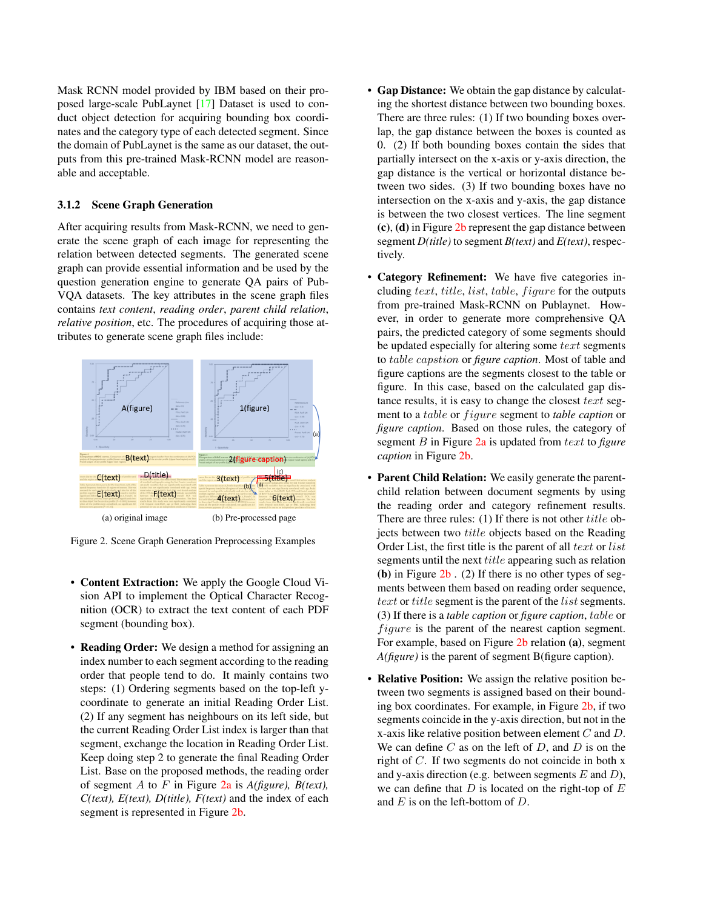<span id="page-2-1"></span>Mask RCNN model provided by IBM based on their proposed large-scale PubLaynet [\[17\]](#page-6-13) Dataset is used to conduct object detection for acquiring bounding box coordinates and the category type of each detected segment. Since the domain of PubLaynet is the same as our dataset, the outputs from this pre-trained Mask-RCNN model are reasonable and acceptable.

### 3.1.2 Scene Graph Generation

After acquiring results from Mask-RCNN, we need to generate the scene graph of each image for representing the relation between detected segments. The generated scene graph can provide essential information and be used by the question generation engine to generate QA pairs of Pub-VQA datasets. The key attributes in the scene graph files contains *text content*, *reading order*, *parent child relation*, *relative position*, etc. The procedures of acquiring those attributes to generate scene graph files include:

<span id="page-2-0"></span>

Figure 2. Scene Graph Generation Preprocessing Examples

- Content Extraction: We apply the Google Cloud Vision API to implement the Optical Character Recognition (OCR) to extract the text content of each PDF segment (bounding box).
- Reading Order: We design a method for assigning an index number to each segment according to the reading order that people tend to do. It mainly contains two steps: (1) Ordering segments based on the top-left ycoordinate to generate an initial Reading Order List. (2) If any segment has neighbours on its left side, but the current Reading Order List index is larger than that segment, exchange the location in Reading Order List. Keep doing step 2 to generate the final Reading Order List. Base on the proposed methods, the reading order of segment A to F in Figure [2a](#page-2-0) is *A(figure), B(text), C(text), E(text), D(title), F(text)* and the index of each segment is represented in Figure [2b.](#page-2-0)
- Gap Distance: We obtain the gap distance by calculating the shortest distance between two bounding boxes. There are three rules: (1) If two bounding boxes overlap, the gap distance between the boxes is counted as 0. (2) If both bounding boxes contain the sides that partially intersect on the x-axis or y-axis direction, the gap distance is the vertical or horizontal distance between two sides. (3) If two bounding boxes have no intersection on the x-axis and y-axis, the gap distance is between the two closest vertices. The line segment (c), (d) in Figure [2b](#page-2-0) represent the gap distance between segment *D(title)* to segment *B(text)* and *E(text)*, respectively.
- Category Refinement: We have five categories including text, title, list, table,  $figure$  for the outputs from pre-trained Mask-RCNN on Publaynet. However, in order to generate more comprehensive QA pairs, the predicted category of some segments should be updated especially for altering some text segments to table capstion or *figure caption*. Most of table and figure captions are the segments closest to the table or figure. In this case, based on the calculated gap distance results, it is easy to change the closest text segment to a *table* or *figure* segment to *table caption* or *figure caption*. Based on those rules, the category of segment B in Figure [2a](#page-2-0) is updated from text to *figure caption* in Figure [2b.](#page-2-0)
- Parent Child Relation: We easily generate the parentchild relation between document segments by using the reading order and category refinement results. There are three rules: (1) If there is not other *title* objects between two title objects based on the Reading Order List, the first title is the parent of all text or list segments until the next *title* appearing such as relation (b) in Figure  $2b$ . (2) If there is no other types of segments between them based on reading order sequence, text or title segment is the parent of the *list* segments. (3) If there is a *table caption* or *figure caption*, table or *figure* is the parent of the nearest caption segment. For example, based on Figure [2b](#page-2-0) relation (a), segment *A(figure)* is the parent of segment B(figure caption).
- **Relative Position:** We assign the relative position between two segments is assigned based on their bounding box coordinates. For example, in Figure [2b,](#page-2-0) if two segments coincide in the y-axis direction, but not in the x-axis like relative position between element  $C$  and  $D$ . We can define  $C$  as on the left of  $D$ , and  $D$  is on the right of C. If two segments do not coincide in both x and y-axis direction (e.g. between segments  $E$  and  $D$ ), we can define that  $D$  is located on the right-top of  $E$ and  $E$  is on the left-bottom of  $D$ .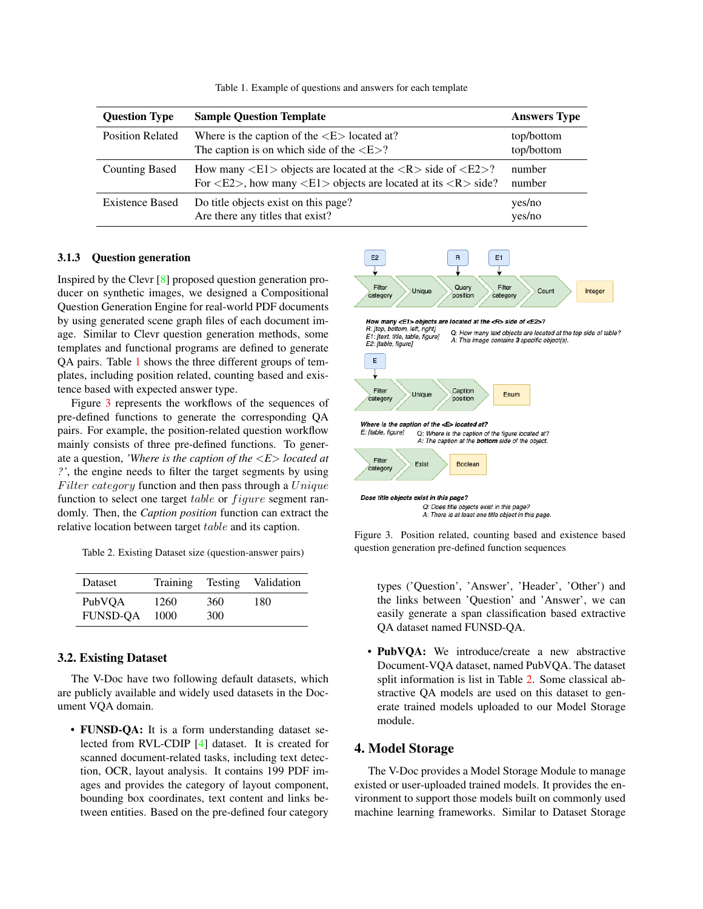<span id="page-3-3"></span><span id="page-3-0"></span>

| <b>Question Type</b>    | <b>Sample Question Template</b>                                                                                                                                                                                              | <b>Answers Type</b>      |
|-------------------------|------------------------------------------------------------------------------------------------------------------------------------------------------------------------------------------------------------------------------|--------------------------|
| <b>Position Related</b> | Where is the caption of the $\langle E \rangle$ located at?<br>The caption is on which side of the $\langle E \rangle$ ?                                                                                                     | top/bottom<br>top/bottom |
| <b>Counting Based</b>   | How many $\langle E1 \rangle$ objects are located at the $\langle R \rangle$ side of $\langle E2 \rangle$ ?<br>For $\langle E2 \rangle$ , how many $\langle E1 \rangle$ objects are located at its $\langle R \rangle$ side? | number<br>number         |
| <b>Existence Based</b>  | Do title objects exist on this page?<br>Are there any titles that exist?                                                                                                                                                     | yes/no<br>yes/no         |

Table 1. Example of questions and answers for each template

#### 3.1.3 Question generation

Inspired by the Clevr [\[8\]](#page-6-15) proposed question generation producer on synthetic images, we designed a Compositional Question Generation Engine for real-world PDF documents by using generated scene graph files of each document image. Similar to Clevr question generation methods, some templates and functional programs are defined to generate QA pairs. Table [1](#page-3-0) shows the three different groups of templates, including position related, counting based and existence based with expected answer type.

Figure [3](#page-3-1) represents the workflows of the sequences of pre-defined functions to generate the corresponding QA pairs. For example, the position-related question workflow mainly consists of three pre-defined functions. To generate a question, *'Where is the caption of the* <*E*> *located at ?'*, the engine needs to filter the target segments by using Filter category function and then pass through a  $Unique$ function to select one target  $table$  or  $figure$  segment randomly. Then, the *Caption position* function can extract the relative location between target table and its caption.

<span id="page-3-2"></span>Table 2. Existing Dataset size (question-answer pairs)

| Dataset         | Training | Testing | Validation |
|-----------------|----------|---------|------------|
| PubVOA          | 1260     | 360     | 180        |
| <b>FUNSD-OA</b> | 1000     | 300     |            |

#### 3.2. Existing Dataset

The V-Doc have two following default datasets, which are publicly available and widely used datasets in the Document VQA domain.

• FUNSD-OA: It is a form understanding dataset selected from RVL-CDIP [\[4\]](#page-6-16) dataset. It is created for scanned document-related tasks, including text detection, OCR, layout analysis. It contains 199 PDF images and provides the category of layout component, bounding box coordinates, text content and links between entities. Based on the pre-defined four category

<span id="page-3-1"></span>

Figure 3. Position related, counting based and existence based question generation pre-defined function sequences

types ('Question', 'Answer', 'Header', 'Other') and the links between 'Question' and 'Answer', we can easily generate a span classification based extractive QA dataset named FUNSD-QA.

• PubVQA: We introduce/create a new abstractive Document-VQA dataset, named PubVQA. The dataset split information is list in Table [2.](#page-3-2) Some classical abstractive QA models are used on this dataset to generate trained models uploaded to our Model Storage module.

# 4. Model Storage

The V-Doc provides a Model Storage Module to manage existed or user-uploaded trained models. It provides the environment to support those models built on commonly used machine learning frameworks. Similar to Dataset Storage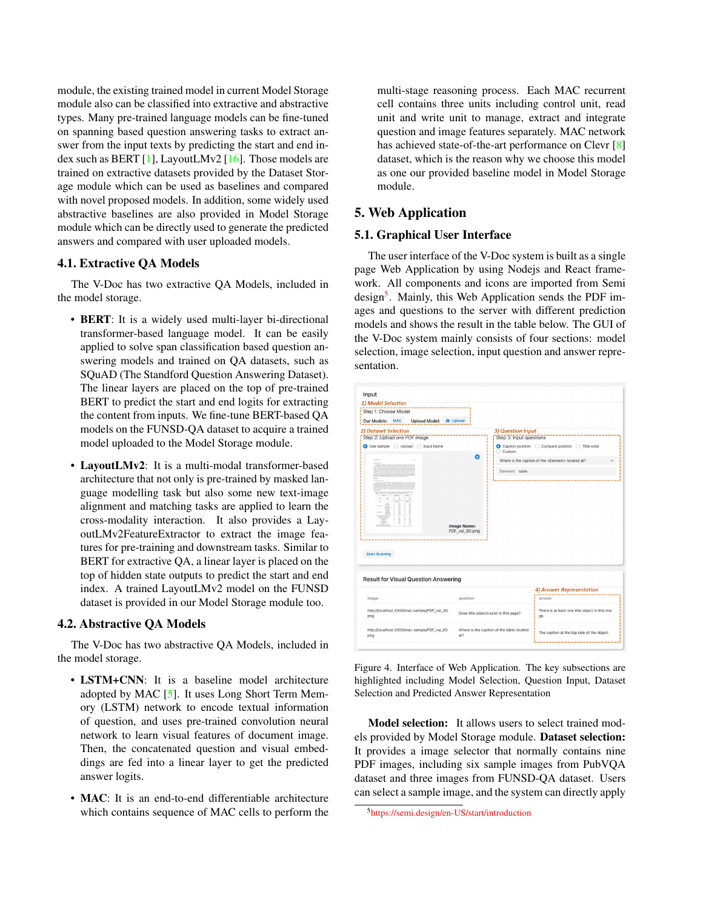<span id="page-4-2"></span>module, the existing trained model in current Model Storage module also can be classified into extractive and abstractive types. Many pre-trained language models can be fine-tuned on spanning based question answering tasks to extract answer from the input texts by predicting the start and end in-dex such as BERT [\[1\]](#page-6-7), LayoutLMv2 [\[16\]](#page-6-11). Those models are trained on extractive datasets provided by the Dataset Storage module which can be used as baselines and compared with novel proposed models. In addition, some widely used abstractive baselines are also provided in Model Storage module which can be directly used to generate the predicted answers and compared with user uploaded models.

# 4.1. Extractive QA Models

The V-Doc has two extractive QA Models, included in the model storage.

- **BERT**: It is a widely used multi-layer bi-directional transformer-based language model. It can be easily applied to solve span classification based question answering models and trained on QA datasets, such as SQuAD (The Standford Question Answering Dataset). The linear layers are placed on the top of pre-trained BERT to predict the start and end logits for extracting the content from inputs. We fine-tune BERT-based QA models on the FUNSD-QA dataset to acquire a trained model uploaded to the Model Storage module.
- LayoutLMv2: It is a multi-modal transformer-based architecture that not only is pre-trained by masked language modelling task but also some new text-image alignment and matching tasks are applied to learn the cross-modality interaction. It also provides a LayoutLMv2FeatureExtractor to extract the image features for pre-training and downstream tasks. Similar to BERT for extractive QA, a linear layer is placed on the top of hidden state outputs to predict the start and end index. A trained LayoutLMv2 model on the FUNSD dataset is provided in our Model Storage module too.

#### 4.2. Abstractive QA Models

The V-Doc has two abstractive QA Models, included in the model storage.

- LSTM+CNN: It is a baseline model architecture adopted by MAC [\[5\]](#page-6-14). It uses Long Short Term Memory (LSTM) network to encode textual information of question, and uses pre-trained convolution neural network to learn visual features of document image. Then, the concatenated question and visual embeddings are fed into a linear layer to get the predicted answer logits.
- MAC: It is an end-to-end differentiable architecture which contains sequence of MAC cells to perform the

multi-stage reasoning process. Each MAC recurrent cell contains three units including control unit, read unit and write unit to manage, extract and integrate question and image features separately. MAC network has achieved state-of-the-art performance on Clevr [\[8\]](#page-6-15) dataset, which is the reason why we choose this model as one our provided baseline model in Model Storage module.

# 5. Web Application

# 5.1. Graphical User Interface

The user interface of the V-Doc system is built as a single page Web Application by using Nodejs and React framework. All components and icons are imported from Semi design<sup>[5](#page-4-0)</sup>. Mainly, this Web Application sends the PDF images and questions to the server with different prediction models and shows the result in the table below. The GUI of the V-Doc system mainly consists of four sections: model selection, image selection, input question and answer representation.

<span id="page-4-1"></span>

Figure 4. Interface of Web Application. The key subsections are highlighted including Model Selection, Question Input, Dataset Selection and Predicted Answer Representation

Model selection: It allows users to select trained models provided by Model Storage module. Dataset selection: It provides a image selector that normally contains nine PDF images, including six sample images from PubVQA dataset and three images from FUNSD-QA dataset. Users can select a sample image, and the system can directly apply

<span id="page-4-0"></span><sup>5</sup>[https://semi.design/en-US/start/introduction](#page-0-1)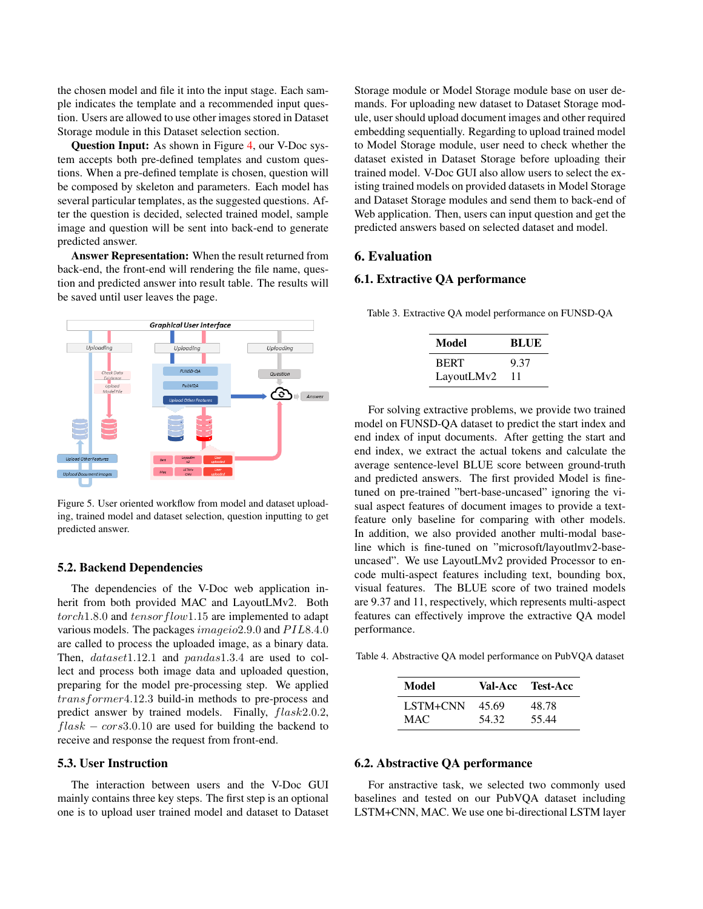the chosen model and file it into the input stage. Each sample indicates the template and a recommended input question. Users are allowed to use other images stored in Dataset Storage module in this Dataset selection section.

Question Input: As shown in Figure [4,](#page-4-1) our V-Doc system accepts both pre-defined templates and custom questions. When a pre-defined template is chosen, question will be composed by skeleton and parameters. Each model has several particular templates, as the suggested questions. After the question is decided, selected trained model, sample image and question will be sent into back-end to generate predicted answer.

Answer Representation: When the result returned from back-end, the front-end will rendering the file name, question and predicted answer into result table. The results will be saved until user leaves the page.



Figure 5. User oriented workflow from model and dataset uploading, trained model and dataset selection, question inputting to get predicted answer.

### 5.2. Backend Dependencies

The dependencies of the V-Doc web application inherit from both provided MAC and LayoutLMv2. Both  $torch1.8.0$  and  $tensorflow1.15$  are implemented to adapt various models. The packages *imageio*2.9.0 and PIL8.4.0 are called to process the uploaded image, as a binary data. Then,  $dataset1.12.1$  and  $pandas1.3.4$  are used to collect and process both image data and uploaded question, preparing for the model pre-processing step. We applied transformer4.12.3 build-in methods to pre-process and predict answer by trained models. Finally, flask2.0.2,  $flask - cors3.0.10$  are used for building the backend to receive and response the request from front-end.

# 5.3. User Instruction

The interaction between users and the V-Doc GUI mainly contains three key steps. The first step is an optional one is to upload user trained model and dataset to Dataset Storage module or Model Storage module base on user demands. For uploading new dataset to Dataset Storage module, user should upload document images and other required embedding sequentially. Regarding to upload trained model to Model Storage module, user need to check whether the dataset existed in Dataset Storage before uploading their trained model. V-Doc GUI also allow users to select the existing trained models on provided datasets in Model Storage and Dataset Storage modules and send them to back-end of Web application. Then, users can input question and get the predicted answers based on selected dataset and model.

# 6. Evaluation

### 6.1. Extractive QA performance

Table 3. Extractive QA model performance on FUNSD-QA

| Model       | BLUE |
|-------------|------|
| <b>BERT</b> | 9.37 |
| LayoutLMv2  | 11   |

For solving extractive problems, we provide two trained model on FUNSD-QA dataset to predict the start index and end index of input documents. After getting the start and end index, we extract the actual tokens and calculate the average sentence-level BLUE score between ground-truth and predicted answers. The first provided Model is finetuned on pre-trained "bert-base-uncased" ignoring the visual aspect features of document images to provide a textfeature only baseline for comparing with other models. In addition, we also provided another multi-modal baseline which is fine-tuned on "microsoft/layoutlmv2-baseuncased". We use LayoutLMv2 provided Processor to encode multi-aspect features including text, bounding box, visual features. The BLUE score of two trained models are 9.37 and 11, respectively, which represents multi-aspect features can effectively improve the extractive QA model performance.

<span id="page-5-0"></span>Table 4. Abstractive QA model performance on PubVQA dataset

| Model    |       | <b>Val-Acc Test-Acc</b> |
|----------|-------|-------------------------|
| LSTM+CNN | 45.69 | 48.78                   |
| MAC.     | 54.32 | 55.44                   |

#### 6.2. Abstractive QA performance

For anstractive task, we selected two commonly used baselines and tested on our PubVQA dataset including LSTM+CNN, MAC. We use one bi-directional LSTM layer